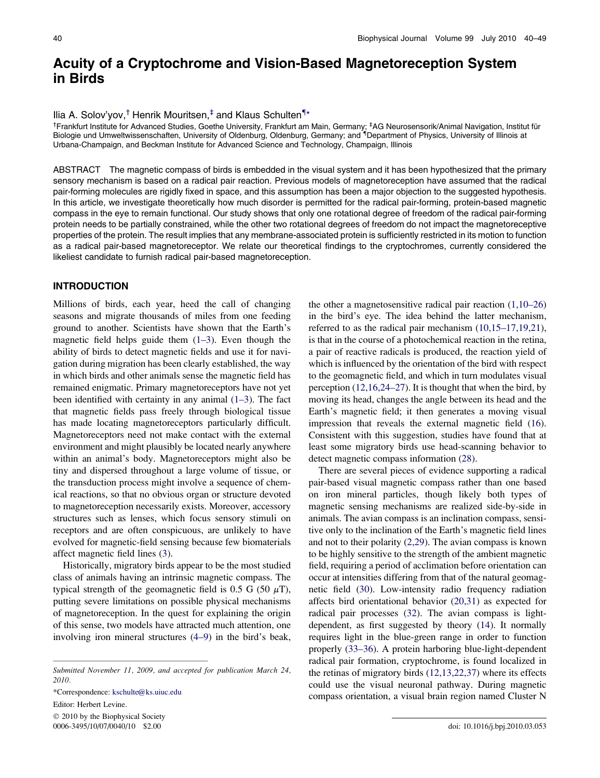# Acuity of a Cryptochrome and Vision-Based Magnetoreception System in Birds

## llia A. Solov'yov,<sup>†</sup> Henrik Mouritsen,<sup>‡</sup> and Klaus Schulten<sup>¶\*</sup>

<sup>†</sup>Frankfurt Institute for Advanced Studies, Goethe University, Frankfurt am Main, Germany; <sup>‡</sup>AG Neurosensorik/Animal Navigation, Institut für<br>Biologie und Umweltwissenschaften, University of Oldenburg, Oldenburg, Germany Urbana-Champaign, and Beckman Institute for Advanced Science and Technology, Champaign, Illinois

ABSTRACT The magnetic compass of birds is embedded in the visual system and it has been hypothesized that the primary sensory mechanism is based on a radical pair reaction. Previous models of magnetoreception have assumed that the radical pair-forming molecules are rigidly fixed in space, and this assumption has been a major objection to the suggested hypothesis. In this article, we investigate theoretically how much disorder is permitted for the radical pair-forming, protein-based magnetic compass in the eye to remain functional. Our study shows that only one rotational degree of freedom of the radical pair-forming protein needs to be partially constrained, while the other two rotational degrees of freedom do not impact the magnetoreceptive properties of the protein. The result implies that any membrane-associated protein is sufficiently restricted in its motion to function as a radical pair-based magnetoreceptor. We relate our theoretical findings to the cryptochromes, currently considered the likeliest candidate to furnish radical pair-based magnetoreception.

## INTRODUCTION

Millions of birds, each year, heed the call of changing seasons and migrate thousands of miles from one feeding ground to another. Scientists have shown that the Earth's magnetic field helps guide them  $(1-3)$ . Even though the ability of birds to detect magnetic fields and use it for navigation during migration has been clearly established, the way in which birds and other animals sense the magnetic field has remained enigmatic. Primary magnetoreceptors have not yet been identified with certainty in any animal ([1–3](#page-8-0)). The fact that magnetic fields pass freely through biological tissue has made locating magnetoreceptors particularly difficult. Magnetoreceptors need not make contact with the external environment and might plausibly be located nearly anywhere within an animal's body. Magnetoreceptors might also be tiny and dispersed throughout a large volume of tissue, or the transduction process might involve a sequence of chemical reactions, so that no obvious organ or structure devoted to magnetoreception necessarily exists. Moreover, accessory structures such as lenses, which focus sensory stimuli on receptors and are often conspicuous, are unlikely to have evolved for magnetic-field sensing because few biomaterials affect magnetic field lines [\(3](#page-8-0)).

Historically, migratory birds appear to be the most studied class of animals having an intrinsic magnetic compass. The typical strength of the geomagnetic field is 0.5 G (50  $\mu$ T), putting severe limitations on possible physical mechanisms of magnetoreception. In the quest for explaining the origin of this sense, two models have attracted much attention, one involving iron mineral structures ([4–9\)](#page-8-0) in the bird's beak,

Editor: Herbert Levine.

 $© 2010$  by the Biophysical Society 0006-3495/10/07/0040/10 \$2.00 doi: 10.1016/j.bpj.2010.03.053

the other a magnetosensitive radical pair reaction  $(1,10-26)$ in the bird's eye. The idea behind the latter mechanism, referred to as the radical pair mechanism [\(10,15–17,19,21\)](#page-9-0), is that in the course of a photochemical reaction in the retina, a pair of reactive radicals is produced, the reaction yield of which is influenced by the orientation of the bird with respect to the geomagnetic field, and which in turn modulates visual perception ([12,16,24–27](#page-9-0)). It is thought that when the bird, by moving its head, changes the angle between its head and the Earth's magnetic field; it then generates a moving visual impression that reveals the external magnetic field ([16\)](#page-9-0). Consistent with this suggestion, studies have found that at least some migratory birds use head-scanning behavior to detect magnetic compass information [\(28](#page-9-0)).

There are several pieces of evidence supporting a radical pair-based visual magnetic compass rather than one based on iron mineral particles, though likely both types of magnetic sensing mechanisms are realized side-by-side in animals. The avian compass is an inclination compass, sensitive only to the inclination of the Earth's magnetic field lines and not to their polarity [\(2,29\)](#page-8-0). The avian compass is known to be highly sensitive to the strength of the ambient magnetic field, requiring a period of acclimation before orientation can occur at intensities differing from that of the natural geomagnetic field [\(30](#page-9-0)). Low-intensity radio frequency radiation affects bird orientational behavior ([20,31](#page-9-0)) as expected for radical pair processes [\(32](#page-9-0)). The avian compass is lightdependent, as first suggested by theory ([14\)](#page-9-0). It normally requires light in the blue-green range in order to function properly [\(33–36](#page-9-0)). A protein harboring blue-light-dependent radical pair formation, cryptochrome, is found localized in the retinas of migratory birds ([12,13,22,37](#page-9-0)) where its effects could use the visual neuronal pathway. During magnetic compass orientation, a visual brain region named Cluster N

Submitted November 11, 2009, and accepted for publication March 24, 2010.

<sup>\*</sup>Correspondence: [kschulte@ks.uiuc.edu](mailto:kschulte@ks.uiuc.edu)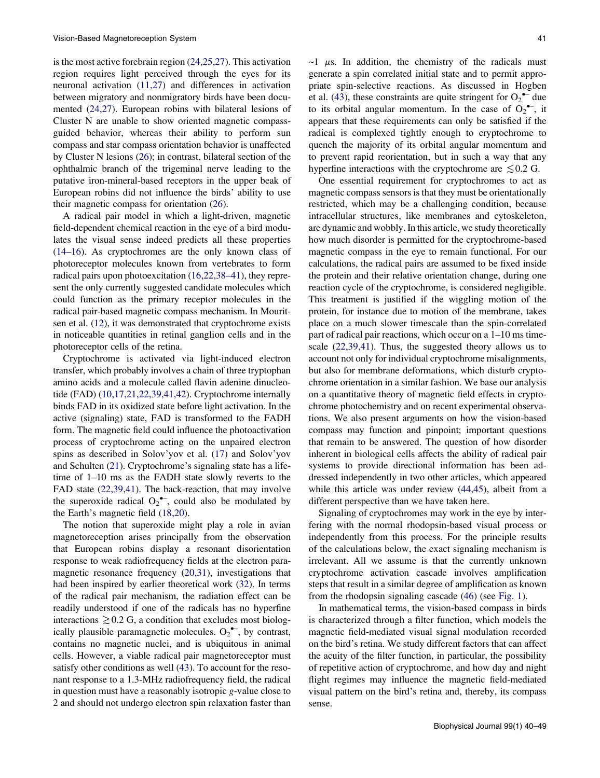is the most active forebrain region [\(24,25,27](#page-9-0)). This activation region requires light perceived through the eyes for its neuronal activation ([11,27](#page-9-0)) and differences in activation between migratory and nonmigratory birds have been documented [\(24,27\)](#page-9-0). European robins with bilateral lesions of Cluster N are unable to show oriented magnetic compassguided behavior, whereas their ability to perform sun compass and star compass orientation behavior is unaffected by Cluster N lesions ([26\)](#page-9-0); in contrast, bilateral section of the ophthalmic branch of the trigeminal nerve leading to the putative iron-mineral-based receptors in the upper beak of European robins did not influence the birds' ability to use their magnetic compass for orientation [\(26](#page-9-0)).

A radical pair model in which a light-driven, magnetic field-dependent chemical reaction in the eye of a bird modulates the visual sense indeed predicts all these properties ([14–16\)](#page-9-0). As cryptochromes are the only known class of photoreceptor molecules known from vertebrates to form radical pairs upon photoexcitation [\(16,22,38–41](#page-9-0)), they represent the only currently suggested candidate molecules which could function as the primary receptor molecules in the radical pair-based magnetic compass mechanism. In Mouritsen et al. ([12\)](#page-9-0), it was demonstrated that cryptochrome exists in noticeable quantities in retinal ganglion cells and in the photoreceptor cells of the retina.

Cryptochrome is activated via light-induced electron transfer, which probably involves a chain of three tryptophan amino acids and a molecule called flavin adenine dinucleotide (FAD) [\(10,17,21,22,39,41,42](#page-9-0)). Cryptochrome internally binds FAD in its oxidized state before light activation. In the active (signaling) state, FAD is transformed to the FADH form. The magnetic field could influence the photoactivation process of cryptochrome acting on the unpaired electron spins as described in Solov'yov et al. ([17\)](#page-9-0) and Solov'yov and Schulten [\(21](#page-9-0)). Cryptochrome's signaling state has a lifetime of 1–10 ms as the FADH state slowly reverts to the FAD state [\(22,39,41](#page-9-0)). The back-reaction, that may involve the superoxide radical  $O_2^{\bullet -}$ , could also be modulated by the Earth's magnetic field ([18,20](#page-9-0)).

The notion that superoxide might play a role in avian magnetoreception arises principally from the observation that European robins display a resonant disorientation response to weak radiofrequency fields at the electron paramagnetic resonance frequency ([20,31](#page-9-0)), investigations that had been inspired by earlier theoretical work [\(32](#page-9-0)). In terms of the radical pair mechanism, the radiation effect can be readily understood if one of the radicals has no hyperfine interactions  $\geq 0.2$  G, a condition that excludes most biologically plausible paramagnetic molecules.  $O_2^{\bullet-}$ , by contrast, contains no magnetic nuclei, and is ubiquitous in animal cells. However, a viable radical pair magnetoreceptor must satisfy other conditions as well [\(43](#page-9-0)). To account for the resonant response to a 1.3-MHz radiofrequency field, the radical in question must have a reasonably isotropic g-value close to 2 and should not undergo electron spin relaxation faster than  $\sim$ 1  $\mu$ s. In addition, the chemistry of the radicals must generate a spin correlated initial state and to permit appropriate spin-selective reactions. As discussed in Hogben et al. [\(43](#page-9-0)), these constraints are quite stringent for  $O_2^{\bullet-}$  due to its orbital angular momentum. In the case of  $O_2^{\bullet-}$ , it appears that these requirements can only be satisfied if the radical is complexed tightly enough to cryptochrome to quench the majority of its orbital angular momentum and to prevent rapid reorientation, but in such a way that any hyperfine interactions with the cryptochrome are  $\leq 0.2$  G.

One essential requirement for cryptochromes to act as magnetic compass sensors is that they must be orientationally restricted, which may be a challenging condition, because intracellular structures, like membranes and cytoskeleton, are dynamic and wobbly. In this article, we study theoretically how much disorder is permitted for the cryptochrome-based magnetic compass in the eye to remain functional. For our calculations, the radical pairs are assumed to be fixed inside the protein and their relative orientation change, during one reaction cycle of the cryptochrome, is considered negligible. This treatment is justified if the wiggling motion of the protein, for instance due to motion of the membrane, takes place on a much slower timescale than the spin-correlated part of radical pair reactions, which occur on a 1–10 ms timescale ([22,39,41\)](#page-9-0). Thus, the suggested theory allows us to account not only for individual cryptochrome misalignments, but also for membrane deformations, which disturb cryptochrome orientation in a similar fashion. We base our analysis on a quantitative theory of magnetic field effects in cryptochrome photochemistry and on recent experimental observations. We also present arguments on how the vision-based compass may function and pinpoint; important questions that remain to be answered. The question of how disorder inherent in biological cells affects the ability of radical pair systems to provide directional information has been addressed independently in two other articles, which appeared while this article was under review ([44,45](#page-9-0)), albeit from a different perspective than we have taken here.

Signaling of cryptochromes may work in the eye by interfering with the normal rhodopsin-based visual process or independently from this process. For the principle results of the calculations below, the exact signaling mechanism is irrelevant. All we assume is that the currently unknown cryptochrome activation cascade involves amplification steps that result in a similar degree of amplification as known from the rhodopsin signaling cascade ([46\)](#page-9-0) (see [Fig. 1](#page-2-0)).

In mathematical terms, the vision-based compass in birds is characterized through a filter function, which models the magnetic field-mediated visual signal modulation recorded on the bird's retina. We study different factors that can affect the acuity of the filter function, in particular, the possibility of repetitive action of cryptochrome, and how day and night flight regimes may influence the magnetic field-mediated visual pattern on the bird's retina and, thereby, its compass sense.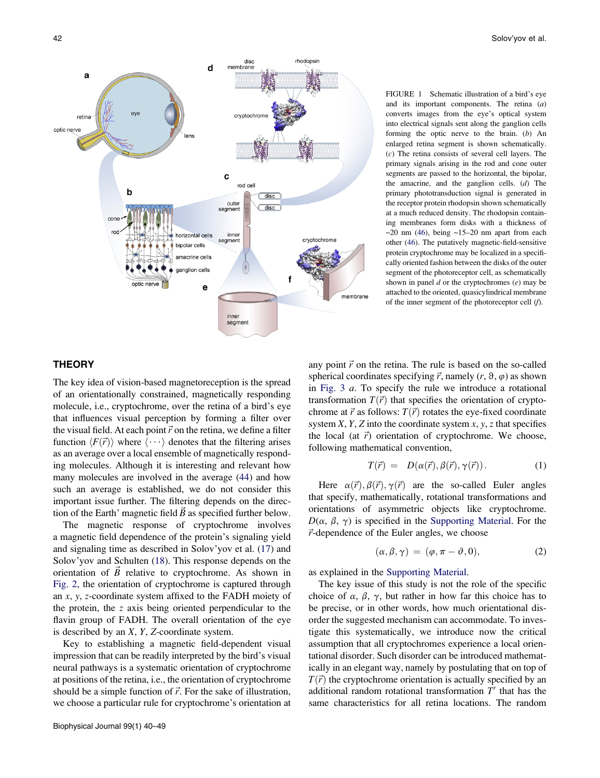<span id="page-2-0"></span>

FIGURE 1 Schematic illustration of a bird's eye and its important components. The retina  $(a)$ converts images from the eye's optical system into electrical signals sent along the ganglion cells forming the optic nerve to the brain. (b) An enlarged retina segment is shown schematically. (c) The retina consists of several cell layers. The primary signals arising in the rod and cone outer segments are passed to the horizontal, the bipolar, the amacrine, and the ganglion cells.  $(d)$  The primary phototransduction signal is generated in the receptor protein rhodopsin shown schematically at a much reduced density. The rhodopsin containing membranes form disks with a thickness of  $\sim$ 20 nm ([46\)](#page-9-0), being  $\sim$ 15–20 nm apart from each other ([46\)](#page-9-0). The putatively magnetic-field-sensitive protein cryptochrome may be localized in a specifically oriented fashion between the disks of the outer segment of the photoreceptor cell, as schematically shown in panel  $d$  or the cryptochromes  $(e)$  may be attached to the oriented, quasicylindrical membrane of the inner segment of the photoreceptor cell (f).

### **THEORY**

The key idea of vision-based magnetoreception is the spread of an orientationally constrained, magnetically responding molecule, i.e., cryptochrome, over the retina of a bird's eye that influences visual perception by forming a filter over the visual field. At each point  $\vec{r}$  on the retina, we define a filter function  $\langle F(\vec{r}) \rangle$  where  $\langle \cdots \rangle$  denotes that the filtering arises as an average over a local ensemble of magnetically responding molecules. Although it is interesting and relevant how many molecules are involved in the average ([44\)](#page-9-0) and how such an average is established, we do not consider this important issue further. The filtering depends on the direction of the Earth' magnetic field  $\vec{B}$  as specified further below.

The magnetic response of cryptochrome involves a magnetic field dependence of the protein's signaling yield and signaling time as described in Solov'yov et al. [\(17](#page-9-0)) and Solov'yov and Schulten ([18\)](#page-9-0). This response depends on the orientation of  $\vec{B}$  relative to cryptochrome. As shown in [Fig. 2](#page-3-0), the orientation of cryptochrome is captured through an x, y, z-coordinate system affixed to the FADH moiety of the protein, the z axis being oriented perpendicular to the flavin group of FADH. The overall orientation of the eye is described by an  $X$ ,  $Y$ ,  $Z$ -coordinate system.

Key to establishing a magnetic field-dependent visual impression that can be readily interpreted by the bird's visual neural pathways is a systematic orientation of cryptochrome at positions of the retina, i.e., the orientation of cryptochrome should be a simple function of  $\vec{r}$ . For the sake of illustration, we choose a particular rule for cryptochrome's orientation at any point  $\vec{r}$  on the retina. The rule is based on the so-called spherical coordinates specifying  $\vec{r}$ , namely  $(r, \vartheta, \varphi)$  as shown in [Fig. 3](#page-3-0) a. To specify the rule we introduce a rotational transformation  $T(\vec{r})$  that specifies the orientation of cryptochrome at  $\vec{r}$  as follows:  $T(\vec{r})$  rotates the eye-fixed coordinate system  $X, Y, Z$  into the coordinate system  $x, y, z$  that specifies the local (at  $\vec{r}$ ) orientation of cryptochrome. We choose, following mathematical convention,

$$
T(\vec{r}) = D(\alpha(\vec{r}), \beta(\vec{r}), \gamma(\vec{r})). \tag{1}
$$

Here  $\alpha(\vec{r}), \beta(\vec{r}), \gamma(\vec{r})$  are the so-called Euler angles that specify, mathematically, rotational transformations and orientations of asymmetric objects like cryptochrome.  $D(\alpha, \beta, \gamma)$  is specified in the [Supporting Material.](#page-8-0) For the  $\vec{r}$ -dependence of the Euler angles, we choose

$$
(\alpha, \beta, \gamma) = (\varphi, \pi - \vartheta, 0), \tag{2}
$$

as explained in the [Supporting Material](#page-8-0).

The key issue of this study is not the role of the specific choice of  $\alpha$ ,  $\beta$ ,  $\gamma$ , but rather in how far this choice has to be precise, or in other words, how much orientational disorder the suggested mechanism can accommodate. To investigate this systematically, we introduce now the critical assumption that all cryptochromes experience a local orientational disorder. Such disorder can be introduced mathematically in an elegant way, namely by postulating that on top of  $T(\vec{r})$  the cryptochrome orientation is actually specified by an additional random rotational transformation  $T'$  that has the same characteristics for all retina locations. The random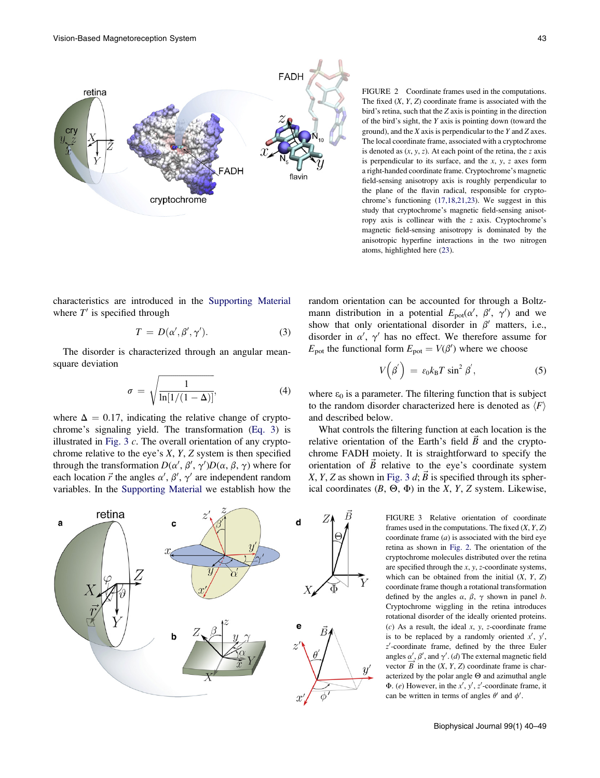<span id="page-3-0"></span>

FIGURE 2 Coordinate frames used in the computations. The fixed  $(X, Y, Z)$  coordinate frame is associated with the bird's retina, such that the Z axis is pointing in the direction of the bird's sight, the Y axis is pointing down (toward the ground), and the  $X$  axis is perpendicular to the  $Y$  and  $Z$  axes. The local coordinate frame, associated with a cryptochrome is denoted as  $(x, y, z)$ . At each point of the retina, the z axis is perpendicular to its surface, and the  $x$ ,  $y$ ,  $z$  axes form a right-handed coordinate frame. Cryptochrome's magnetic field-sensing anisotropy axis is roughly perpendicular to the plane of the flavin radical, responsible for cryptochrome's functioning ([17,18,21,23\)](#page-9-0). We suggest in this study that cryptochrome's magnetic field-sensing anisotropy axis is collinear with the z axis. Cryptochrome's magnetic field-sensing anisotropy is dominated by the anisotropic hyperfine interactions in the two nitrogen atoms, highlighted here [\(23](#page-9-0)).

characteristics are introduced in the [Supporting Material](#page-8-0) where  $T'$  is specified through

$$
T = D(\alpha', \beta', \gamma'). \tag{3}
$$

The disorder is characterized through an angular meansquare deviation

$$
\sigma = \sqrt{\frac{1}{\ln[1/(1-\Delta)]}},\tag{4}
$$

where  $\Delta = 0.17$ , indicating the relative change of cryptochrome's signaling yield. The transformation (Eq. 3) is illustrated in Fig.  $3c$ . The overall orientation of any cryptochrome relative to the eye's  $X$ ,  $Y$ ,  $Z$  system is then specified through the transformation  $D(\alpha', \beta', \gamma')D(\alpha, \beta, \gamma)$  where for each location  $\vec{r}$  the angles  $\alpha'$ ,  $\beta'$ ,  $\gamma'$  are independent random variables. In the [Supporting Material](#page-8-0) we establish how the



random orientation can be accounted for through a Boltzmann distribution in a potential  $E_{pot}(\alpha', \beta', \gamma')$  and we show that only orientational disorder in  $\beta'$  matters, i.e., disorder in  $\alpha'$ ,  $\gamma'$  has no effect. We therefore assume for  $E_{pot}$  the functional form  $E_{pot} = V(\beta')$  where we choose

$$
V(\beta') = \varepsilon_0 k_\mathrm{B} T \sin^2 \beta', \qquad (5)
$$

where  $\varepsilon_0$  is a parameter. The filtering function that is subject to the random disorder characterized here is denoted as  $\langle F \rangle$ and described below.

What controls the filtering function at each location is the relative orientation of the Earth's field  $\vec{B}$  and the cryptochrome FADH moiety. It is straightforward to specify the orientation of  $\vec{B}$  relative to the eye's coordinate system X, Y, Z as shown in Fig. 3 d; B is specified through its spherical coordinates  $(B, \Theta, \Phi)$  in the X, Y, Z system. Likewise,

> FIGURE 3 Relative orientation of coordinate frames used in the computations. The fixed  $(X, Y, Z)$ coordinate frame  $(a)$  is associated with the bird eye retina as shown in Fig. 2. The orientation of the cryptochrome molecules distributed over the retina are specified through the x, y, z-coordinate systems, which can be obtained from the initial  $(X, Y, Z)$ coordinate frame though a rotational transformation defined by the angles  $\alpha$ ,  $\beta$ ,  $\gamma$  shown in panel b. Cryptochrome wiggling in the retina introduces rotational disorder of the ideally oriented proteins.  $(c)$  As a result, the ideal  $x$ ,  $y$ ,  $z$ -coordinate frame is to be replaced by a randomly oriented  $x'$ ,  $y'$ , z'-coordinate frame, defined by the three Euler angles  $\alpha'$ ,  $\beta'$ , and  $\gamma'$ . (d) The external magnetic field vector  $\overrightarrow{B}$  in the  $(X, Y, Z)$  coordinate frame is characterized by the polar angle  $\Theta$  and azimuthal angle  $\Phi$ . (e) However, in the x', y', z'-coordinate frame, it can be written in terms of angles  $\theta'$  and  $\phi'$ .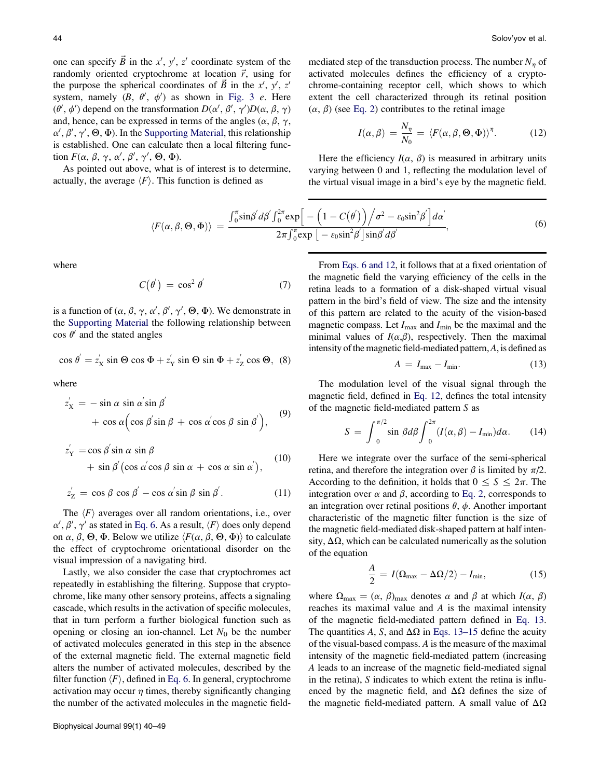one can specify  $\vec{B}$  in the x', y', z' coordinate system of the randomly oriented cryptochrome at location  $\vec{r}$ , using for the purpose the spherical coordinates of  $\vec{B}$  in the x', y', z' system, namely  $(B, \theta', \phi')$  as shown in [Fig. 3](#page-3-0) e. Here  $(\theta', \phi')$  depend on the transformation  $D(\alpha', \beta', \gamma')D(\alpha, \beta, \gamma)$ and, hence, can be expressed in terms of the angles  $(\alpha, \beta, \gamma, \gamma)$  $\alpha', \beta', \gamma', \Theta, \Phi$ ). In the [Supporting Material,](#page-8-0) this relationship is established. One can calculate then a local filtering function  $F(\alpha, \beta, \gamma, \alpha', \beta', \gamma', \Theta, \Phi)$ .

As pointed out above, what is of interest is to determine, actually, the average  $\langle F \rangle$ . This function is defined as

mediated step of the transduction process. The number  $N_n$  of activated molecules defines the efficiency of a cryptochrome-containing receptor cell, which shows to which extent the cell characterized through its retinal position  $(\alpha, \beta)$  (see Eq. 2) contributes to the retinal image

$$
I(\alpha, \beta) = \frac{N_{\eta}}{N_0} = \langle F(\alpha, \beta, \Theta, \Phi) \rangle^{\eta}.
$$
 (12)

Here the efficiency  $I(\alpha, \beta)$  is measured in arbitrary units varying between 0 and 1, reflecting the modulation level of the virtual visual image in a bird's eye by the magnetic field.

$$
\langle F(\alpha,\beta,\Theta,\Phi) \rangle = \frac{\int_0^{\pi} \sin \beta' d\beta' \int_0^{2\pi} \exp \left[ -\left(1 - C(\theta')\right) \Big/ \sigma^2 - \varepsilon_0 \sin^2 \beta' \right] d\alpha'}{2\pi \int_0^{\pi} \exp \left[ -\varepsilon_0 \sin^2 \beta' \right] \sin \beta' d\beta'}, \tag{6}
$$

where

$$
C(\theta') = \cos^2 \theta' \tag{7}
$$

is a function of  $(\alpha, \beta, \gamma, \alpha', \beta', \gamma', \Theta, \Phi)$ . We demonstrate in the [Supporting Material](#page-8-0) the following relationship between cos  $\theta'$  and the stated angles

$$
\cos \theta' = z'_X \sin \Theta \cos \Phi + z'_Y \sin \Theta \sin \Phi + z'_Z \cos \Theta, \tag{8}
$$

where

$$
z'_X = -\sin \alpha \sin \alpha' \sin \beta'
$$
  
+  $\cos \alpha \Big(\cos \beta' \sin \beta + \cos \alpha' \cos \beta \sin \beta'\Big),$  (9)

$$
z'_{Y} = \cos \beta' \sin \alpha \sin \beta + \sin \beta' (\cos \alpha' \cos \beta \sin \alpha + \cos \alpha \sin \alpha'),
$$
 (10)

$$
z'_{Z} = \cos \beta \cos \beta' - \cos \alpha' \sin \beta \sin \beta'.
$$
 (11)

The  $\langle F \rangle$  averages over all random orientations, i.e., over  $\alpha', \beta', \gamma'$  as stated in Eq. 6. As a result,  $\langle F \rangle$  does only depend on  $\alpha$ ,  $\beta$ ,  $\Theta$ ,  $\Phi$ . Below we utilize  $\langle F(\alpha, \beta, \Theta, \Phi) \rangle$  to calculate the effect of cryptochrome orientational disorder on the visual impression of a navigating bird.

Lastly, we also consider the case that cryptochromes act repeatedly in establishing the filtering. Suppose that cryptochrome, like many other sensory proteins, affects a signaling cascade, which results in the activation of specific molecules, that in turn perform a further biological function such as opening or closing an ion-channel. Let  $N_0$  be the number of activated molecules generated in this step in the absence of the external magnetic field. The external magnetic field alters the number of activated molecules, described by the filter function  $\langle F \rangle$ , defined in Eq. 6. In general, cryptochrome activation may occur  $\eta$  times, thereby significantly changing the number of the activated molecules in the magnetic field-

From Eqs. 6 and 12, it follows that at a fixed orientation of the magnetic field the varying efficiency of the cells in the retina leads to a formation of a disk-shaped virtual visual pattern in the bird's field of view. The size and the intensity of this pattern are related to the acuity of the vision-based magnetic compass. Let  $I_{\text{max}}$  and  $I_{\text{min}}$  be the maximal and the minimal values of  $I(\alpha,\beta)$ , respectively. Then the maximal intensity of the magnetic field-mediated pattern, A, is defined as

$$
A = I_{\text{max}} - I_{\text{min}}.\tag{13}
$$

The modulation level of the visual signal through the magnetic field, defined in Eq. 12, defines the total intensity of the magnetic field-mediated pattern S as

$$
S = \int_0^{\pi/2} \sin \beta d\beta \int_0^{2\pi} (I(\alpha, \beta) - I_{\min}) d\alpha.
$$
 (14)

Here we integrate over the surface of the semi-spherical retina, and therefore the integration over  $\beta$  is limited by  $\pi/2$ . According to the definition, it holds that  $0 \leq S \leq 2\pi$ . The integration over  $\alpha$  and  $\beta$ , according to Eq. 2, corresponds to an integration over retinal positions  $\theta$ ,  $\phi$ . Another important characteristic of the magnetic filter function is the size of the magnetic field-mediated disk-shaped pattern at half intensity,  $\Delta\Omega$ , which can be calculated numerically as the solution of the equation

$$
\frac{A}{2} = I(\Omega_{\text{max}} - \Delta\Omega/2) - I_{\text{min}},\tag{15}
$$

where  $\Omega_{\text{max}} = (\alpha, \beta)_{\text{max}}$  denotes  $\alpha$  and  $\beta$  at which  $I(\alpha, \beta)$ reaches its maximal value and A is the maximal intensity of the magnetic field-mediated pattern defined in Eq. 13. The quantities A, S, and  $\Delta\Omega$  in Eqs. 13–15 define the acuity of the visual-based compass. A is the measure of the maximal intensity of the magnetic field-mediated pattern (increasing A leads to an increase of the magnetic field-mediated signal in the retina), S indicates to which extent the retina is influenced by the magnetic field, and  $\Delta\Omega$  defines the size of the magnetic field-mediated pattern. A small value of  $\Delta\Omega$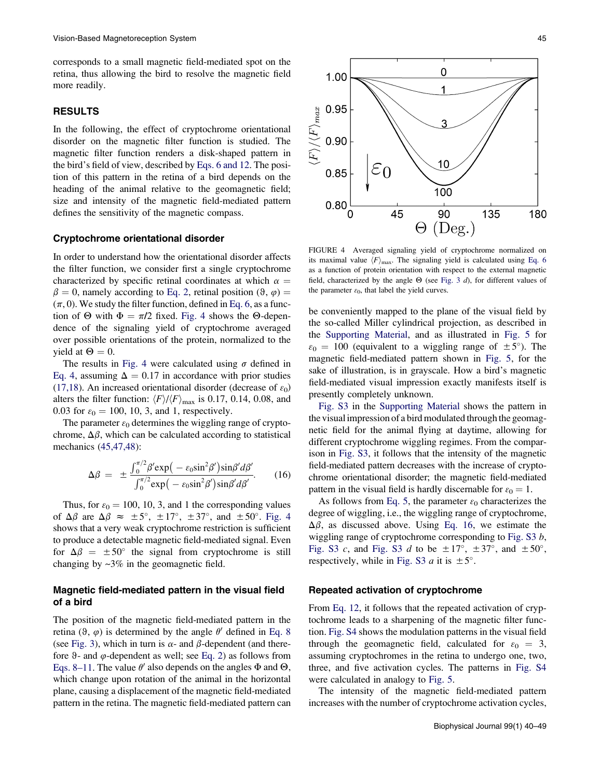corresponds to a small magnetic field-mediated spot on the retina, thus allowing the bird to resolve the magnetic field more readily.

#### RESULTS

In the following, the effect of cryptochrome orientational disorder on the magnetic filter function is studied. The magnetic filter function renders a disk-shaped pattern in the bird's field of view, described by Eqs. 6 and 12. The position of this pattern in the retina of a bird depends on the heading of the animal relative to the geomagnetic field; size and intensity of the magnetic field-mediated pattern defines the sensitivity of the magnetic compass.

### Cryptochrome orientational disorder

In order to understand how the orientational disorder affects the filter function, we consider first a single cryptochrome characterized by specific retinal coordinates at which  $\alpha =$  $\beta = 0$ , namely according to Eq. 2, retinal position ( $\theta$ ,  $\varphi$ ) =  $(\pi, 0)$ . We study the filter function, defined in Eq. 6, as a function of  $\Theta$  with  $\Phi = \pi/2$  fixed. Fig. 4 shows the  $\Theta$ -dependence of the signaling yield of cryptochrome averaged over possible orientations of the protein, normalized to the yield at  $\Theta = 0$ .

The results in Fig. 4 were calculated using  $\sigma$  defined in Eq. 4, assuming  $\Delta = 0.17$  in accordance with prior studies ([17,18](#page-9-0)). An increased orientational disorder (decrease of  $\varepsilon_0$ ) alters the filter function:  $\langle F \rangle / \langle F \rangle_{\text{max}}$  is 0.17, 0.14, 0.08, and 0.03 for  $\varepsilon_0 = 100, 10, 3,$  and 1, respectively.

The parameter  $\varepsilon_0$  determines the wiggling range of cryptochrome,  $\Delta \beta$ , which can be calculated according to statistical mechanics [\(45,47,48](#page-9-0)):

$$
\Delta \beta = \pm \frac{\int_0^{\pi/2} \beta' \exp(-\varepsilon_0 \sin^2 \beta') \sin \beta' d\beta'}{\int_0^{\pi/2} \exp(-\varepsilon_0 \sin^2 \beta') \sin \beta' d\beta'}.
$$
 (16)

Thus, for  $\varepsilon_0 = 100$ , 10, 3, and 1 the corresponding values of  $\Delta\beta$  are  $\Delta\beta \approx \pm 5^{\circ}$ ,  $\pm 17^{\circ}$ ,  $\pm 37^{\circ}$ , and  $\pm 50^{\circ}$ . Fig. 4 shows that a very weak cryptochrome restriction is sufficient to produce a detectable magnetic field-mediated signal. Even for  $\Delta \beta = \pm 50^{\circ}$  the signal from cryptochrome is still changing by  $\sim$ 3% in the geomagnetic field.

## Magnetic field-mediated pattern in the visual field of a bird

The position of the magnetic field-mediated pattern in the retina ( $\theta$ ,  $\varphi$ ) is determined by the angle  $\theta'$  defined in Eq. 8 (see [Fig. 3](#page-3-0)), which in turn is  $\alpha$ - and  $\beta$ -dependent (and therefore  $\vartheta$ - and  $\varphi$ -dependent as well; see Eq. 2) as follows from Eqs. 8–11. The value  $\theta'$  also depends on the angles  $\Phi$  and  $\Theta$ , which change upon rotation of the animal in the horizontal plane, causing a displacement of the magnetic field-mediated pattern in the retina. The magnetic field-mediated pattern can



FIGURE 4 Averaged signaling yield of cryptochrome normalized on its maximal value  $\langle F \rangle_{\text{max}}$ . The signaling yield is calculated using Eq. 6 as a function of protein orientation with respect to the external magnetic field, characterized by the angle  $\Theta$  (see [Fig. 3](#page-3-0) d), for different values of the parameter  $\varepsilon_0$ , that label the yield curves.

be conveniently mapped to the plane of the visual field by the so-called Miller cylindrical projection, as described in the [Supporting Material,](#page-8-0) and as illustrated in [Fig. 5](#page-6-0) for  $\varepsilon_0 = 100$  (equivalent to a wiggling range of  $\pm 5^{\circ}$ ). The magnetic field-mediated pattern shown in [Fig. 5](#page-6-0), for the sake of illustration, is in grayscale. How a bird's magnetic field-mediated visual impression exactly manifests itself is presently completely unknown.

[Fig. S3](#page-8-0) in the [Supporting Material](#page-8-0) shows the pattern in the visual impression of a bird modulated through the geomagnetic field for the animal flying at daytime, allowing for different cryptochrome wiggling regimes. From the comparison in [Fig. S3](#page-8-0), it follows that the intensity of the magnetic field-mediated pattern decreases with the increase of cryptochrome orientational disorder; the magnetic field-mediated pattern in the visual field is hardly discernable for  $\varepsilon_0 = 1$ .

As follows from Eq. 5, the parameter  $\varepsilon_0$  characterizes the degree of wiggling, i.e., the wiggling range of cryptochrome,  $\Delta\beta$ , as discussed above. Using Eq. 16, we estimate the wiggling range of cryptochrome corresponding to [Fig. S3](#page-8-0) b, [Fig. S3](#page-8-0) c, and Fig. S3 d to be  $\pm 17^{\circ}$ ,  $\pm 37^{\circ}$ , and  $\pm 50^{\circ}$ , respectively, while in [Fig. S3](#page-8-0) *a* it is  $\pm$  5°.

#### Repeated activation of cryptochrome

From Eq. 12, it follows that the repeated activation of cryptochrome leads to a sharpening of the magnetic filter function. [Fig. S4](#page-8-0) shows the modulation patterns in the visual field through the geomagnetic field, calculated for  $\varepsilon_0 = 3$ , assuming cryptochromes in the retina to undergo one, two, three, and five activation cycles. The patterns in [Fig. S4](#page-8-0) were calculated in analogy to [Fig. 5.](#page-6-0)

The intensity of the magnetic field-mediated pattern increases with the number of cryptochrome activation cycles,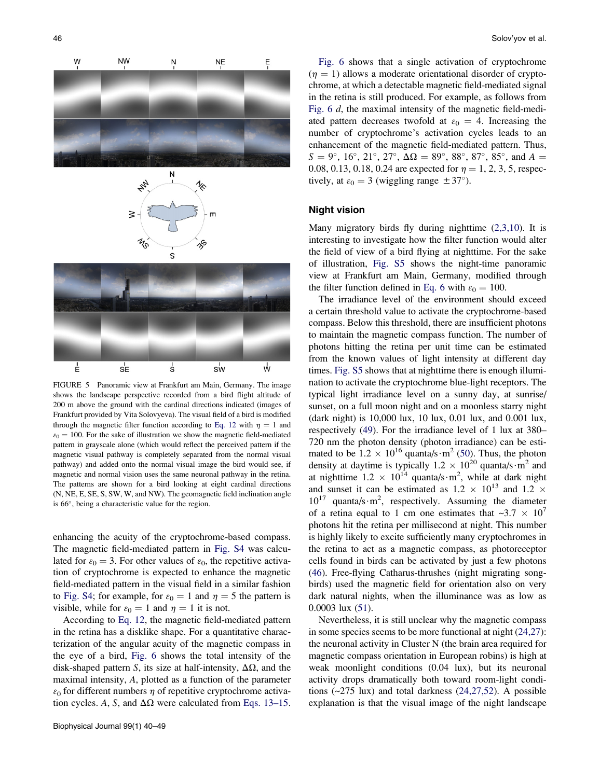<span id="page-6-0"></span>

FIGURE 5 Panoramic view at Frankfurt am Main, Germany. The image shows the landscape perspective recorded from a bird flight altitude of 200 m above the ground with the cardinal directions indicated (images of Frankfurt provided by Vita Solovyeva). The visual field of a bird is modified through the magnetic filter function according to Eq. 12 with  $\eta = 1$  and  $\varepsilon_0 = 100$ . For the sake of illustration we show the magnetic field-mediated pattern in grayscale alone (which would reflect the perceived pattern if the magnetic visual pathway is completely separated from the normal visual pathway) and added onto the normal visual image the bird would see, if magnetic and normal vision uses the same neuronal pathway in the retina. The patterns are shown for a bird looking at eight cardinal directions (N, NE, E, SE, S, SW, W, and NW). The geomagnetic field inclination angle is 66°, being a characteristic value for the region.

enhancing the acuity of the cryptochrome-based compass. The magnetic field-mediated pattern in [Fig. S4](#page-8-0) was calculated for  $\varepsilon_0 = 3$ . For other values of  $\varepsilon_0$ , the repetitive activation of cryptochrome is expected to enhance the magnetic field-mediated pattern in the visual field in a similar fashion to [Fig. S4](#page-8-0); for example, for  $\varepsilon_0 = 1$  and  $\eta = 5$  the pattern is visible, while for  $\varepsilon_0 = 1$  and  $\eta = 1$  it is not.

According to Eq. 12, the magnetic field-mediated pattern in the retina has a disklike shape. For a quantitative characterization of the angular acuity of the magnetic compass in the eye of a bird, [Fig. 6](#page-7-0) shows the total intensity of the disk-shaped pattern S, its size at half-intensity,  $\Delta\Omega$ , and the maximal intensity, A, plotted as a function of the parameter  $\epsilon_0$  for different numbers  $\eta$  of repetitive cryptochrome activation cycles. A, S, and  $\Delta\Omega$  were calculated from Eqs. 13–15.

[Fig. 6](#page-7-0) shows that a single activation of cryptochrome  $(\eta = 1)$  allows a moderate orientational disorder of cryptochrome, at which a detectable magnetic field-mediated signal in the retina is still produced. For example, as follows from [Fig. 6](#page-7-0) d, the maximal intensity of the magnetic field-mediated pattern decreases twofold at  $\varepsilon_0 = 4$ . Increasing the number of cryptochrome's activation cycles leads to an enhancement of the magnetic field-mediated pattern. Thus,  $S = 9^{\circ}, 16^{\circ}, 21^{\circ}, 27^{\circ}, \Delta\Omega = 89^{\circ}, 88^{\circ}, 87^{\circ}, 85^{\circ}, \text{ and } A =$ 0.08, 0.13, 0.18, 0.24 are expected for  $\eta = 1, 2, 3, 5$ , respectively, at  $\varepsilon_0 = 3$  (wiggling range  $\pm 37^{\circ}$ ).

#### Night vision

Many migratory birds fly during nighttime [\(2,3,10](#page-8-0)). It is interesting to investigate how the filter function would alter the field of view of a bird flying at nighttime. For the sake of illustration, [Fig. S5](#page-8-0) shows the night-time panoramic view at Frankfurt am Main, Germany, modified through the filter function defined in Eq. 6 with  $\varepsilon_0 = 100$ .

The irradiance level of the environment should exceed a certain threshold value to activate the cryptochrome-based compass. Below this threshold, there are insufficient photons to maintain the magnetic compass function. The number of photons hitting the retina per unit time can be estimated from the known values of light intensity at different day times. [Fig. S5](#page-8-0) shows that at nighttime there is enough illumination to activate the cryptochrome blue-light receptors. The typical light irradiance level on a sunny day, at sunrise/ sunset, on a full moon night and on a moonless starry night (dark night) is 10,000 lux, 10 lux, 0.01 lux, and 0.001 lux, respectively ([49\)](#page-9-0). For the irradiance level of 1 lux at 380– 720 nm the photon density (photon irradiance) can be estimated to be  $1.2 \times 10^{16}$  quanta/s $\cdot$ m<sup>2</sup> ([50\)](#page-9-0). Thus, the photon density at daytime is typically  $1.2 \times 10^{20}$  quanta/s $\cdot$ m<sup>2</sup> and at nighttime  $1.2 \times 10^{14}$  quanta/s $\cdot$ m<sup>2</sup>, while at dark night and sunset it can be estimated as  $1.2 \times 10^{13}$  and  $1.2 \times$  $10^{17}$  quanta/s·m<sup>2</sup>, respectively. Assuming the diameter of a retina equal to 1 cm one estimates that  $\sim 3.7 \times 10^7$ photons hit the retina per millisecond at night. This number is highly likely to excite sufficiently many cryptochromes in the retina to act as a magnetic compass, as photoreceptor cells found in birds can be activated by just a few photons ([46\)](#page-9-0). Free-flying Catharus-thrushes (night migrating songbirds) used the magnetic field for orientation also on very dark natural nights, when the illuminance was as low as 0.0003 lux ([51\)](#page-9-0).

Nevertheless, it is still unclear why the magnetic compass in some species seems to be more functional at night [\(24,27\)](#page-9-0): the neuronal activity in Cluster N (the brain area required for magnetic compass orientation in European robins) is high at weak moonlight conditions (0.04 lux), but its neuronal activity drops dramatically both toward room-light conditions  $(-275 \text{ lux})$  and total darkness  $(24,27,52)$  $(24,27,52)$ . A possible explanation is that the visual image of the night landscape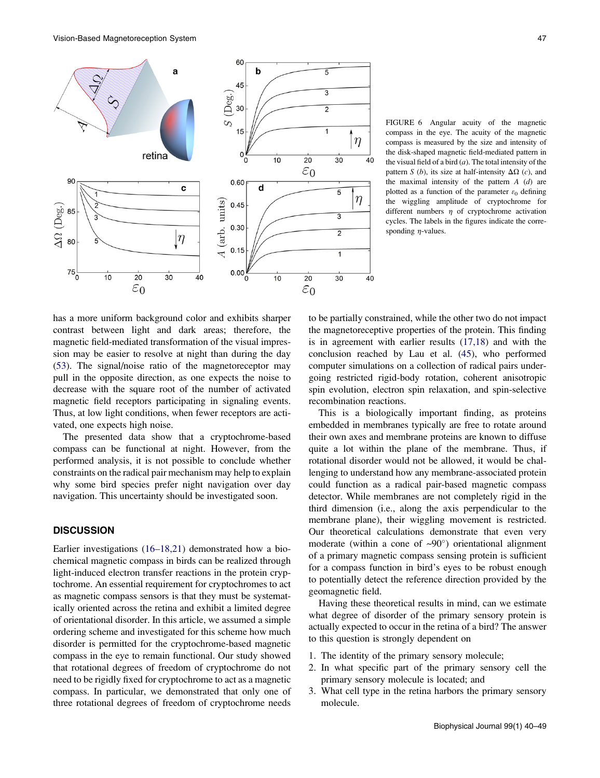<span id="page-7-0"></span>

has a more uniform background color and exhibits sharper contrast between light and dark areas; therefore, the magnetic field-mediated transformation of the visual impression may be easier to resolve at night than during the day ([53\)](#page-9-0). The signal/noise ratio of the magnetoreceptor may pull in the opposite direction, as one expects the noise to decrease with the square root of the number of activated magnetic field receptors participating in signaling events. Thus, at low light conditions, when fewer receptors are activated, one expects high noise.

The presented data show that a cryptochrome-based compass can be functional at night. However, from the performed analysis, it is not possible to conclude whether constraints on the radical pair mechanism may help to explain why some bird species prefer night navigation over day navigation. This uncertainty should be investigated soon.

### **DISCUSSION**

Earlier investigations ([16–18,21](#page-9-0)) demonstrated how a biochemical magnetic compass in birds can be realized through light-induced electron transfer reactions in the protein cryptochrome. An essential requirement for cryptochromes to act as magnetic compass sensors is that they must be systematically oriented across the retina and exhibit a limited degree of orientational disorder. In this article, we assumed a simple ordering scheme and investigated for this scheme how much disorder is permitted for the cryptochrome-based magnetic compass in the eye to remain functional. Our study showed that rotational degrees of freedom of cryptochrome do not need to be rigidly fixed for cryptochrome to act as a magnetic compass. In particular, we demonstrated that only one of three rotational degrees of freedom of cryptochrome needs FIGURE 6 Angular acuity of the magnetic compass in the eye. The acuity of the magnetic compass is measured by the size and intensity of the disk-shaped magnetic field-mediated pattern in the visual field of a bird  $(a)$ . The total intensity of the pattern S (b), its size at half-intensity  $\Delta\Omega$  (c), and the maximal intensity of the pattern  $A$  (d) are plotted as a function of the parameter  $\varepsilon_0$  defining the wiggling amplitude of cryptochrome for different numbers  $\eta$  of cryptochrome activation cycles. The labels in the figures indicate the corresponding  $\eta$ -values.

to be partially constrained, while the other two do not impact the magnetoreceptive properties of the protein. This finding is in agreement with earlier results ([17,18](#page-9-0)) and with the conclusion reached by Lau et al. [\(45](#page-9-0)), who performed computer simulations on a collection of radical pairs undergoing restricted rigid-body rotation, coherent anisotropic spin evolution, electron spin relaxation, and spin-selective recombination reactions.

This is a biologically important finding, as proteins embedded in membranes typically are free to rotate around their own axes and membrane proteins are known to diffuse quite a lot within the plane of the membrane. Thus, if rotational disorder would not be allowed, it would be challenging to understand how any membrane-associated protein could function as a radical pair-based magnetic compass detector. While membranes are not completely rigid in the third dimension (i.e., along the axis perpendicular to the membrane plane), their wiggling movement is restricted. Our theoretical calculations demonstrate that even very moderate (within a cone of  $\sim 90^\circ$ ) orientational alignment of a primary magnetic compass sensing protein is sufficient for a compass function in bird's eyes to be robust enough to potentially detect the reference direction provided by the geomagnetic field.

Having these theoretical results in mind, can we estimate what degree of disorder of the primary sensory protein is actually expected to occur in the retina of a bird? The answer to this question is strongly dependent on

- 1. The identity of the primary sensory molecule;
- 2. In what specific part of the primary sensory cell the primary sensory molecule is located; and
- 3. What cell type in the retina harbors the primary sensory molecule.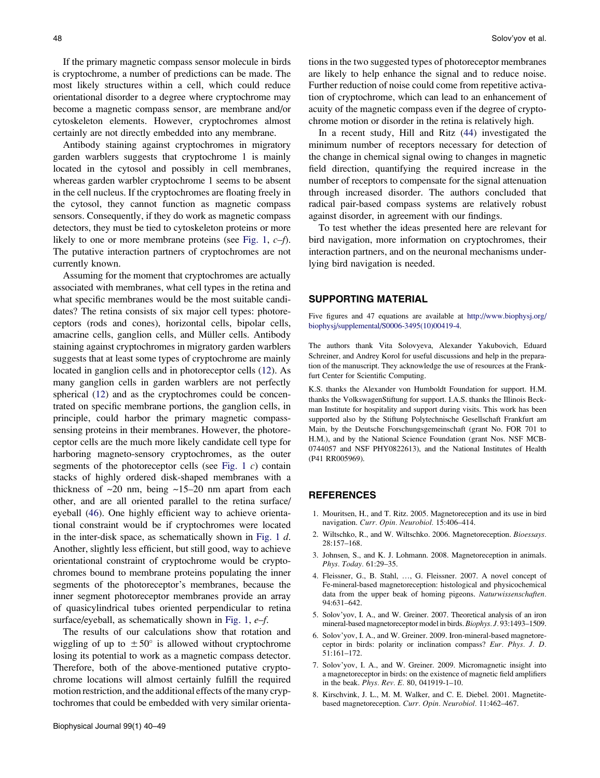<span id="page-8-0"></span>If the primary magnetic compass sensor molecule in birds is cryptochrome, a number of predictions can be made. The most likely structures within a cell, which could reduce orientational disorder to a degree where cryptochrome may become a magnetic compass sensor, are membrane and/or cytoskeleton elements. However, cryptochromes almost certainly are not directly embedded into any membrane.

Antibody staining against cryptochromes in migratory garden warblers suggests that cryptochrome 1 is mainly located in the cytosol and possibly in cell membranes, whereas garden warbler cryptochrome 1 seems to be absent in the cell nucleus. If the cryptochromes are floating freely in the cytosol, they cannot function as magnetic compass sensors. Consequently, if they do work as magnetic compass detectors, they must be tied to cytoskeleton proteins or more likely to one or more membrane proteins (see [Fig. 1,](#page-2-0) c–f). The putative interaction partners of cryptochromes are not currently known.

Assuming for the moment that cryptochromes are actually associated with membranes, what cell types in the retina and what specific membranes would be the most suitable candidates? The retina consists of six major cell types: photoreceptors (rods and cones), horizontal cells, bipolar cells, amacrine cells, ganglion cells, and Müller cells. Antibody staining against cryptochromes in migratory garden warblers suggests that at least some types of cryptochrome are mainly located in ganglion cells and in photoreceptor cells ([12\)](#page-9-0). As many ganglion cells in garden warblers are not perfectly spherical [\(12](#page-9-0)) and as the cryptochromes could be concentrated on specific membrane portions, the ganglion cells, in principle, could harbor the primary magnetic compasssensing proteins in their membranes. However, the photoreceptor cells are the much more likely candidate cell type for harboring magneto-sensory cryptochromes, as the outer segments of the photoreceptor cells (see [Fig. 1](#page-2-0) c) contain stacks of highly ordered disk-shaped membranes with a thickness of  $\sim$ 20 nm, being  $\sim$ 15–20 nm apart from each other, and are all oriented parallel to the retina surface/ eyeball [\(46](#page-9-0)). One highly efficient way to achieve orientational constraint would be if cryptochromes were located in the inter-disk space, as schematically shown in [Fig. 1](#page-2-0) d. Another, slightly less efficient, but still good, way to achieve orientational constraint of cryptochrome would be cryptochromes bound to membrane proteins populating the inner segments of the photoreceptor's membranes, because the inner segment photoreceptor membranes provide an array of quasicylindrical tubes oriented perpendicular to retina surface/eyeball, as schematically shown in [Fig. 1](#page-2-0),  $e$ -f.

The results of our calculations show that rotation and wiggling of up to  $\pm 50^{\circ}$  is allowed without cryptochrome losing its potential to work as a magnetic compass detector. Therefore, both of the above-mentioned putative cryptochrome locations will almost certainly fulfill the required motion restriction, and the additional effects of the many cryptochromes that could be embedded with very similar orientations in the two suggested types of photoreceptor membranes are likely to help enhance the signal and to reduce noise. Further reduction of noise could come from repetitive activation of cryptochrome, which can lead to an enhancement of acuity of the magnetic compass even if the degree of cryptochrome motion or disorder in the retina is relatively high.

In a recent study, Hill and Ritz [\(44](#page-9-0)) investigated the minimum number of receptors necessary for detection of the change in chemical signal owing to changes in magnetic field direction, quantifying the required increase in the number of receptors to compensate for the signal attenuation through increased disorder. The authors concluded that radical pair-based compass systems are relatively robust against disorder, in agreement with our findings.

To test whether the ideas presented here are relevant for bird navigation, more information on cryptochromes, their interaction partners, and on the neuronal mechanisms underlying bird navigation is needed.

## SUPPORTING MATERIAL

Five figures and 47 equations are available at [http://www.biophysj.org/](http://www.biophysj.org/biophysj/supplemental/S0006-3495(10)00419-4) [biophysj/supplemental/S0006-3495\(10\)00419-4](http://www.biophysj.org/biophysj/supplemental/S0006-3495(10)00419-4).

The authors thank Vita Solovyeva, Alexander Yakubovich, Eduard Schreiner, and Andrey Korol for useful discussions and help in the preparation of the manuscript. They acknowledge the use of resources at the Frankfurt Center for Scientific Computing.

K.S. thanks the Alexander von Humboldt Foundation for support. H.M. thanks the VolkswagenStiftung for support. I.A.S. thanks the Illinois Beckman Institute for hospitality and support during visits. This work has been supported also by the Stiftung Polytechnische Gesellschaft Frankfurt am Main, by the Deutsche Forschungsgemeinschaft (grant No. FOR 701 to H.M.), and by the National Science Foundation (grant Nos. NSF MCB-0744057 and NSF PHY0822613), and the National Institutes of Health (P41 RR005969).

#### **REFERENCES**

- 1. Mouritsen, H., and T. Ritz. 2005. Magnetoreception and its use in bird navigation. Curr. Opin. Neurobiol. 15:406–414.
- 2. Wiltschko, R., and W. Wiltschko. 2006. Magnetoreception. Bioessays. 28:157–168.
- 3. Johnsen, S., and K. J. Lohmann. 2008. Magnetoreception in animals. Phys. Today. 61:29–35.
- 4. Fleissner, G., B. Stahl, ..., G. Fleissner. 2007. A novel concept of Fe-mineral-based magnetoreception: histological and physicochemical data from the upper beak of homing pigeons. Naturwissenschaften.  $94.631 - 642$
- 5. Solov'yov, I. A., and W. Greiner. 2007. Theoretical analysis of an iron mineral-based magnetoreceptor model in birds. Biophys. J. 93:1493–1509.
- 6. Solov'yov, I. A., and W. Greiner. 2009. Iron-mineral-based magnetoreceptor in birds: polarity or inclination compass? Eur. Phys. J. D. 51:161–172.
- 7. Solov'yov, I. A., and W. Greiner. 2009. Micromagnetic insight into a magnetoreceptor in birds: on the existence of magnetic field amplifiers in the beak. Phys. Rev. E. 80, 041919-1–10.
- 8. Kirschvink, J. L., M. M. Walker, and C. E. Diebel. 2001. Magnetitebased magnetoreception. Curr. Opin. Neurobiol. 11:462–467.